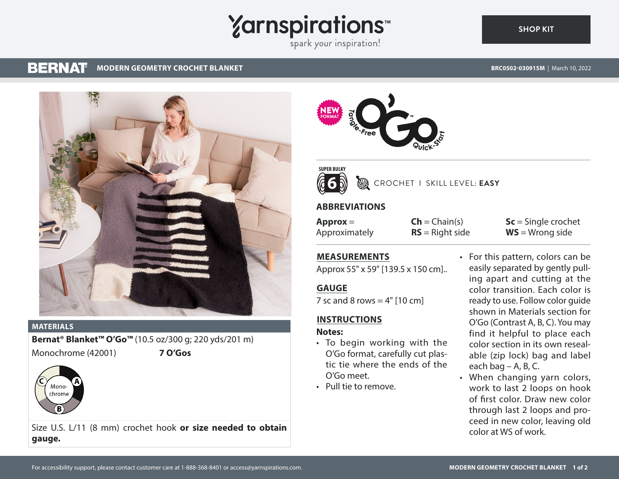# **Yarnspirations**

spark your inspiration!

#### **BERNAT MODERN GEOMETRY CROCHET BLANKET**

**SHOP KIT**



#### **MATERIALS**

**Bernat® Blanket™ O'Go™** (10.5 oz/300 g; 220 yds/201 m) Monochrome (42001) **7 O'Gos**



Size U.S. L/11 (8 mm) crochet hook **or size needed to obtain gauge.**





# CROCHET I SKILL LEVEL: **EASY**

### **ABBREVIATIONS**

**Approx** = Approximately

 $Ch = Chain(s)$ **RS** = Right side **Sc** = Single crochet **WS** = Wrong side

# **MEASUREMENTS**

Approx 55" x 59" [139.5 x 150 cm]..

### **GAUGE**

7 sc and 8 rows  $= 4"$  [10 cm]

# **INSTRUCTIONS**

#### **Notes:**

- To begin working with the O'Go format, carefully cut plastic tie where the ends of the O'Go meet.
- Pull tie to remove.

• For this pattern, colors can be easily separated by gently pulling apart and cutting at the color transition. Each color is ready to use. Follow color guide shown in Materials section for O'Go (Contrast A, B, C). You may find it helpful to place each color section in its own resealable (zip lock) bag and label each bag – A, B, C.

• When changing yarn colors, work to last 2 loops on hook of first color. Draw new color through last 2 loops and proceed in new color, leaving old color at WS of work.